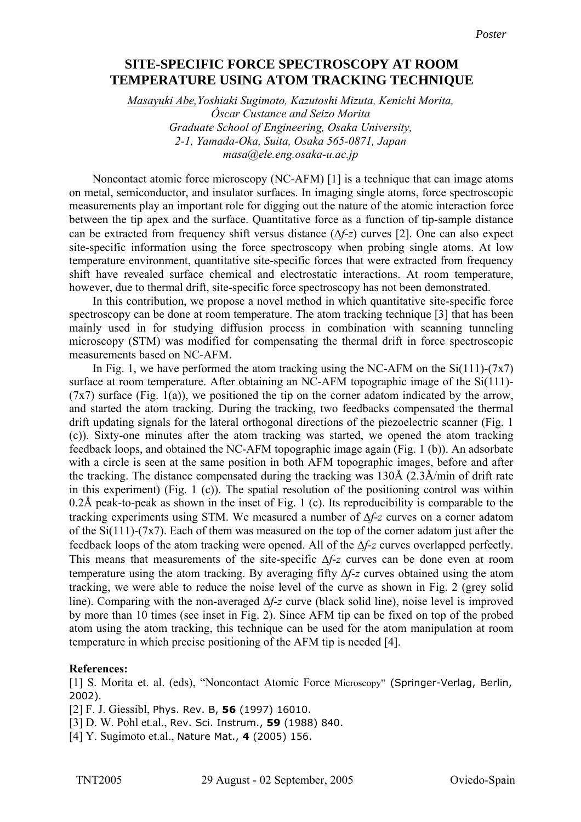## **SITE-SPECIFIC FORCE SPECTROSCOPY AT ROOM using atom tracking technique TEMPERATURE USING ATOM TRACKING TECHNIQUE**

*Masayuki Abe,Yoshiaki Sugimoto, Kazutoshi Mizuta, Kenichi Morita, Óscar Custance and Seizo Morita Graduate School of Engineering, Osaka University, 2-1, Yamada-Oka, Suita, Osaka 565-0871, Japan masa@ele.eng.osaka-u.ac.jp* 

Noncontact atomic force microscopy (NC-AFM) [1] is a technique that can image atoms on metal, semiconductor, and insulator surfaces. In imaging single atoms, force spectroscopic measurements play an important role for digging out the nature of the atomic interaction force between the tip apex and the surface. Quantitative force as a function of tip-sample distance can be extracted from frequency shift versus distance (∆*f*-*z*) curves [2]. One can also expect site-specific information using the force spectroscopy when probing single atoms. At low temperature environment, quantitative site-specific forces that were extracted from frequency shift have revealed surface chemical and electrostatic interactions. At room temperature, however, due to thermal drift, site-specific force spectroscopy has not been demonstrated.

In this contribution, we propose a novel method in which quantitative site-specific force spectroscopy can be done at room temperature. The atom tracking technique [3] that has been mainly used in for studying diffusion process in combination with scanning tunneling microscopy (STM) was modified for compensating the thermal drift in force spectroscopic measurements based on NC-AFM.

In Fig. 1, we have performed the atom tracking using the NC-AFM on the  $Si(111)-(7x7)$ surface at room temperature. After obtaining an NC-AFM topographic image of the Si(111)- $(7x7)$  surface (Fig. 1(a)), we positioned the tip on the corner adatom indicated by the arrow, and started the atom tracking. During the tracking, two feedbacks compensated the thermal drift updating signals for the lateral orthogonal directions of the piezoelectric scanner (Fig. 1 (c)). Sixty-one minutes after the atom tracking was started, we opened the atom tracking feedback loops, and obtained the NC-AFM topographic image again (Fig. 1 (b)). An adsorbate with a circle is seen at the same position in both AFM topographic images, before and after the tracking. The distance compensated during the tracking was 130Å (2.3Å/min of drift rate in this experiment) (Fig. 1 (c)). The spatial resolution of the positioning control was within 0.2Å peak-to-peak as shown in the inset of Fig. 1 (c). Its reproducibility is comparable to the tracking experiments using STM. We measured a number of ∆*f*-*z* curves on a corner adatom of the  $Si(111)-(7x7)$ . Each of them was measured on the top of the corner adatom just after the feedback loops of the atom tracking were opened. All of the ∆*f*-*z* curves overlapped perfectly. This means that measurements of the site-specific ∆*f*-*z* curves can be done even at room temperature using the atom tracking. By averaging fifty ∆*f*-*z* curves obtained using the atom tracking, we were able to reduce the noise level of the curve as shown in Fig. 2 (grey solid line). Comparing with the non-averaged ∆*f*-*z* curve (black solid line), noise level is improved by more than 10 times (see inset in Fig. 2). Since AFM tip can be fixed on top of the probed atom using the atom tracking, this technique can be used for the atom manipulation at room temperature in which precise positioning of the AFM tip is needed [4].

## **References:**

[1] S. Morita et. al. (eds), "Noncontact Atomic Force Microscopy" (Springer-Verlag, Berlin, 2002).

[2] F. J. Giessibl, Phys. Rev. B, **56** (1997) 16010.

[3] D. W. Pohl et.al., Rev. Sci. Instrum., **59** (1988) 840.

[4] Y. Sugimoto et.al., Nature Mat., **4** (2005) 156.